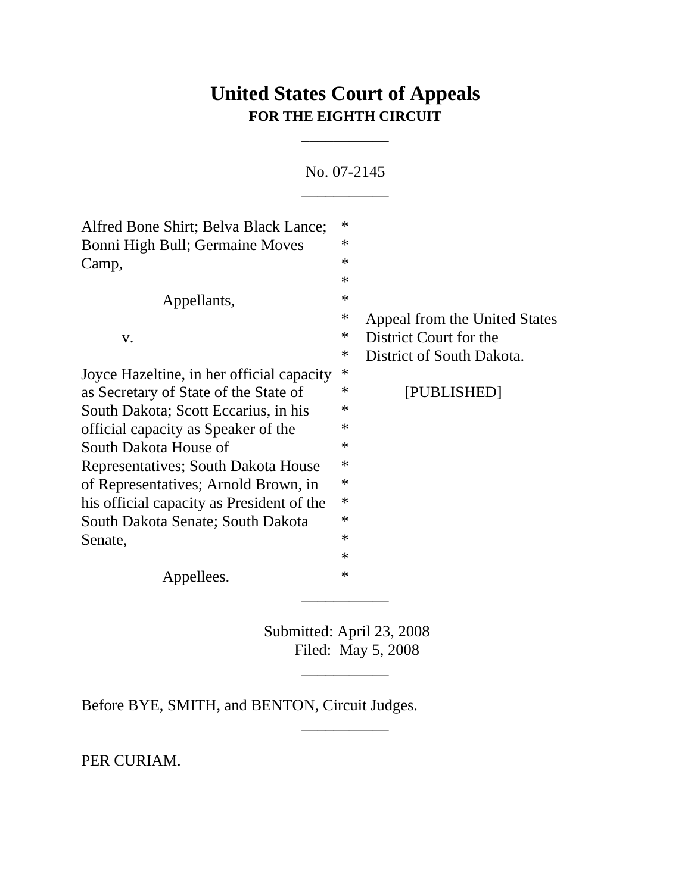## **United States Court of Appeals FOR THE EIGHTH CIRCUIT**

\_\_\_\_\_\_\_\_\_\_\_

No. 07-2145

 $\mathcal{L}=\mathcal{L}$ 

| Alfred Bone Shirt; Belva Black Lance;     | $\ast$ |                               |
|-------------------------------------------|--------|-------------------------------|
| Bonni High Bull; Germaine Moves           | $\ast$ |                               |
| Camp,                                     | $\ast$ |                               |
|                                           | $\ast$ |                               |
| Appellants,                               | $\ast$ |                               |
|                                           | $\ast$ | Appeal from the United States |
| V.                                        | ∗      | District Court for the        |
|                                           | $\ast$ | District of South Dakota.     |
| Joyce Hazeltine, in her official capacity | $\ast$ |                               |
| as Secretary of State of the State of     | $\ast$ | [PUBLISHED]                   |
| South Dakota; Scott Eccarius, in his      | $\ast$ |                               |
| official capacity as Speaker of the       | $\ast$ |                               |
| South Dakota House of                     | $\ast$ |                               |
| Representatives; South Dakota House       | $\ast$ |                               |
| of Representatives; Arnold Brown, in      | $\ast$ |                               |
| his official capacity as President of the | $\ast$ |                               |
| South Dakota Senate; South Dakota         | $\ast$ |                               |
| Senate,                                   | $\ast$ |                               |
|                                           | $\ast$ |                               |
| Appellees.                                | $\ast$ |                               |
|                                           |        |                               |
|                                           |        |                               |

Submitted: April 23, 2008 Filed: May 5, 2008

\_\_\_\_\_\_\_\_\_\_\_

\_\_\_\_\_\_\_\_\_\_\_

Before BYE, SMITH, and BENTON, Circuit Judges.

PER CURIAM.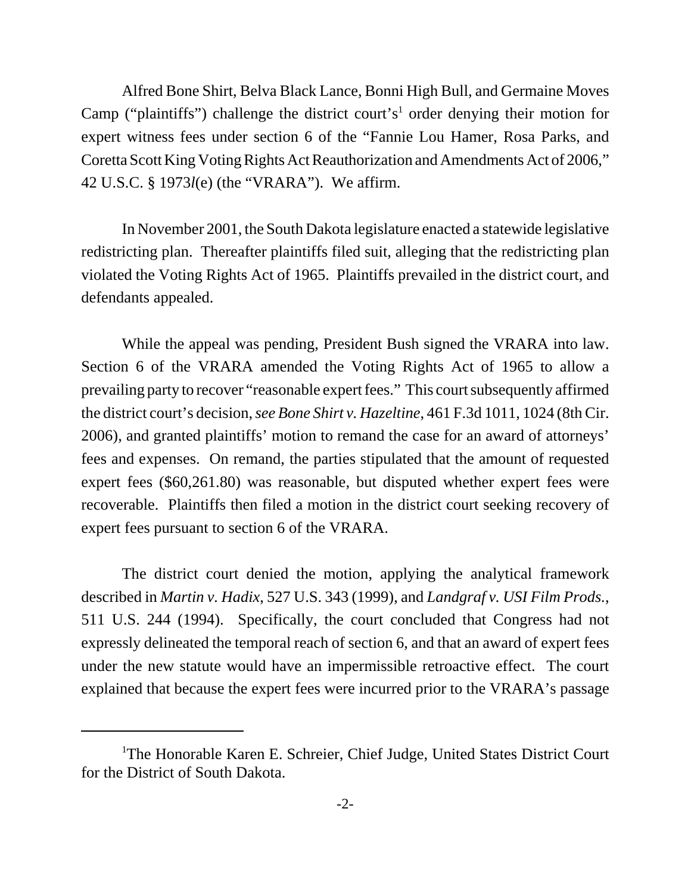Alfred Bone Shirt, Belva Black Lance, Bonni High Bull, and Germaine Moves Camp ("plaintiffs") challenge the district court's<sup>1</sup> order denying their motion for expert witness fees under section 6 of the "Fannie Lou Hamer, Rosa Parks, and Coretta Scott King Voting Rights Act Reauthorization and Amendments Act of 2006," 42 U.S.C. § 1973*l*(e) (the "VRARA"). We affirm.

In November 2001, the South Dakota legislature enacted a statewide legislative redistricting plan. Thereafter plaintiffs filed suit, alleging that the redistricting plan violated the Voting Rights Act of 1965. Plaintiffs prevailed in the district court, and defendants appealed.

While the appeal was pending, President Bush signed the VRARA into law. Section 6 of the VRARA amended the Voting Rights Act of 1965 to allow a prevailing party to recover "reasonable expert fees." This court subsequently affirmed the district court's decision, *see Bone Shirt v. Hazeltine*, 461 F.3d 1011, 1024 (8th Cir. 2006), and granted plaintiffs' motion to remand the case for an award of attorneys' fees and expenses. On remand, the parties stipulated that the amount of requested expert fees (\$60,261.80) was reasonable, but disputed whether expert fees were recoverable. Plaintiffs then filed a motion in the district court seeking recovery of expert fees pursuant to section 6 of the VRARA.

The district court denied the motion, applying the analytical framework described in *Martin v. Hadix*, 527 U.S. 343 (1999), and *Landgraf v. USI Film Prods.*, 511 U.S. 244 (1994). Specifically, the court concluded that Congress had not expressly delineated the temporal reach of section 6, and that an award of expert fees under the new statute would have an impermissible retroactive effect. The court explained that because the expert fees were incurred prior to the VRARA's passage

<sup>&</sup>lt;sup>1</sup>The Honorable Karen E. Schreier, Chief Judge, United States District Court for the District of South Dakota.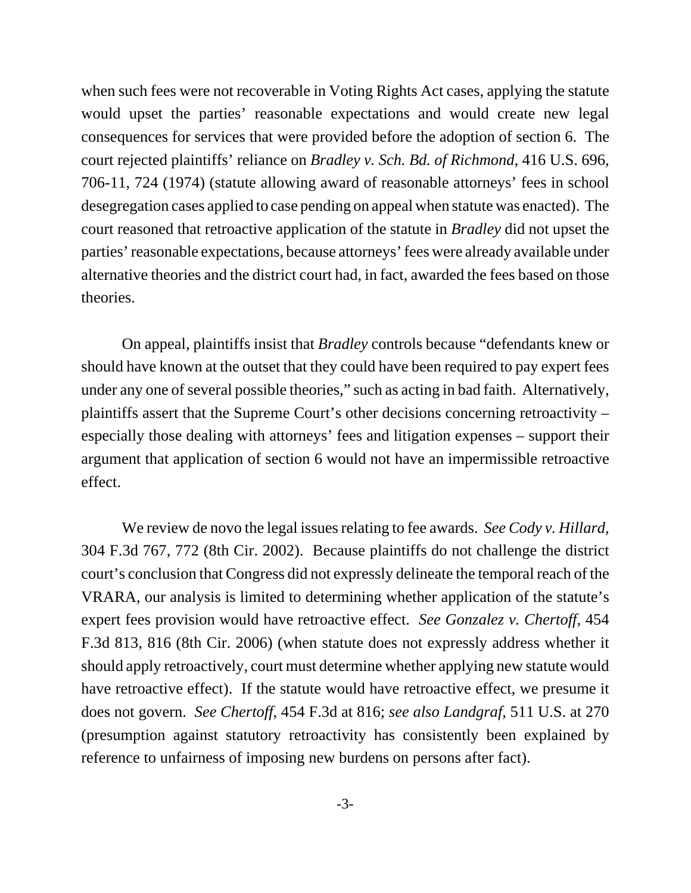when such fees were not recoverable in Voting Rights Act cases, applying the statute would upset the parties' reasonable expectations and would create new legal consequences for services that were provided before the adoption of section 6. The court rejected plaintiffs' reliance on *Bradley v. Sch. Bd. of Richmond*, 416 U.S. 696, 706-11, 724 (1974) (statute allowing award of reasonable attorneys' fees in school desegregation cases applied to case pending on appeal when statute was enacted). The court reasoned that retroactive application of the statute in *Bradley* did not upset the parties' reasonable expectations, because attorneys' fees were already available under alternative theories and the district court had, in fact, awarded the fees based on those theories.

On appeal, plaintiffs insist that *Bradley* controls because "defendants knew or should have known at the outset that they could have been required to pay expert fees under any one of several possible theories," such as acting in bad faith. Alternatively, plaintiffs assert that the Supreme Court's other decisions concerning retroactivity – especially those dealing with attorneys' fees and litigation expenses – support their argument that application of section 6 would not have an impermissible retroactive effect.

We review de novo the legal issues relating to fee awards. *See Cody v. Hillard*, 304 F.3d 767, 772 (8th Cir. 2002). Because plaintiffs do not challenge the district court's conclusion that Congress did not expressly delineate the temporal reach of the VRARA, our analysis is limited to determining whether application of the statute's expert fees provision would have retroactive effect. *See Gonzalez v. Chertoff*, 454 F.3d 813, 816 (8th Cir. 2006) (when statute does not expressly address whether it should apply retroactively, court must determine whether applying new statute would have retroactive effect). If the statute would have retroactive effect, we presume it does not govern. *See Chertoff*, 454 F.3d at 816; *see also Landgraf*, 511 U.S. at 270 (presumption against statutory retroactivity has consistently been explained by reference to unfairness of imposing new burdens on persons after fact).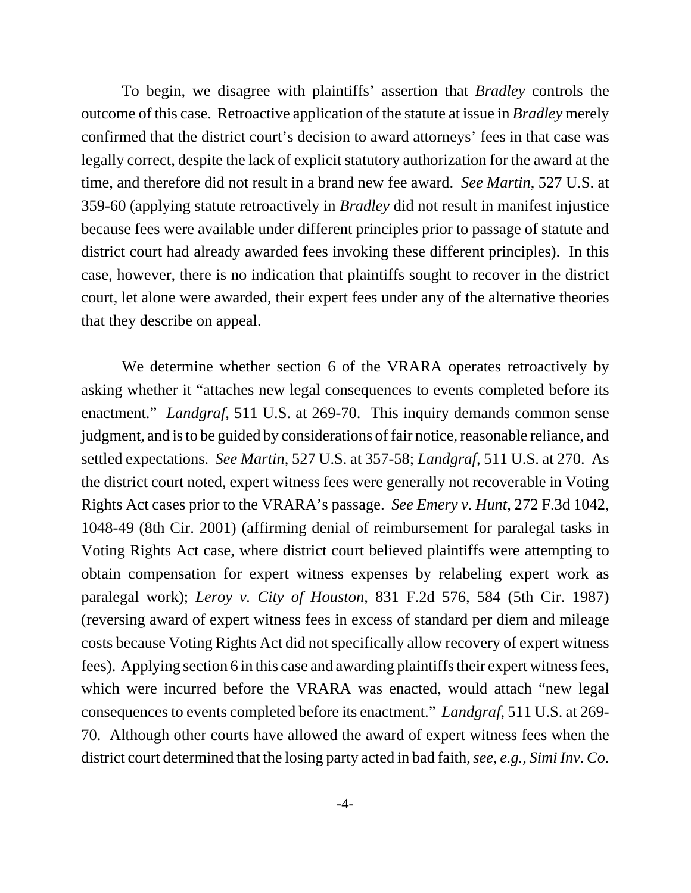To begin, we disagree with plaintiffs' assertion that *Bradley* controls the outcome of this case. Retroactive application of the statute at issue in *Bradley* merely confirmed that the district court's decision to award attorneys' fees in that case was legally correct, despite the lack of explicit statutory authorization for the award at the time, and therefore did not result in a brand new fee award. *See Martin*, 527 U.S. at 359-60 (applying statute retroactively in *Bradley* did not result in manifest injustice because fees were available under different principles prior to passage of statute and district court had already awarded fees invoking these different principles). In this case, however, there is no indication that plaintiffs sought to recover in the district court, let alone were awarded, their expert fees under any of the alternative theories that they describe on appeal.

We determine whether section 6 of the VRARA operates retroactively by asking whether it "attaches new legal consequences to events completed before its enactment." *Landgraf*, 511 U.S. at 269-70. This inquiry demands common sense judgment, and is to be guided by considerations of fair notice, reasonable reliance, and settled expectations. *See Martin*, 527 U.S. at 357-58; *Landgraf*, 511 U.S. at 270. As the district court noted, expert witness fees were generally not recoverable in Voting Rights Act cases prior to the VRARA's passage. *See Emery v. Hunt*, 272 F.3d 1042, 1048-49 (8th Cir. 2001) (affirming denial of reimbursement for paralegal tasks in Voting Rights Act case, where district court believed plaintiffs were attempting to obtain compensation for expert witness expenses by relabeling expert work as paralegal work); *Leroy v. City of Houston*, 831 F.2d 576, 584 (5th Cir. 1987) (reversing award of expert witness fees in excess of standard per diem and mileage costs because Voting Rights Act did not specifically allow recovery of expert witness fees). Applying section 6 in this case and awarding plaintiffs their expert witness fees, which were incurred before the VRARA was enacted, would attach "new legal consequences to events completed before its enactment." *Landgraf*, 511 U.S. at 269- 70. Although other courts have allowed the award of expert witness fees when the district court determined that the losing party acted in bad faith, *see, e.g., Simi Inv. Co.*